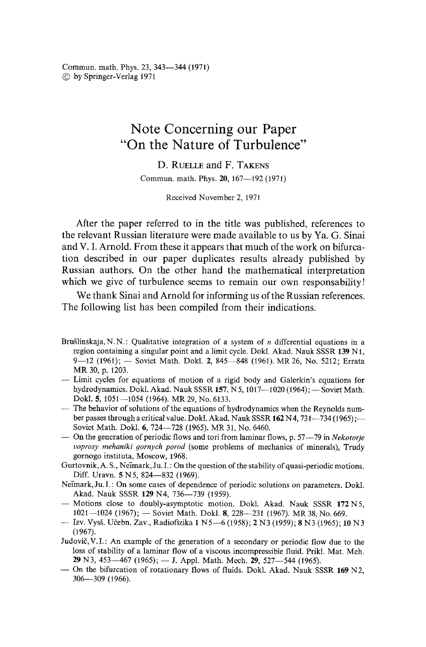Commun. math. Phys. 23, 343--344 (t971) © by Springer-Verlag 1971

## **Note Concerning our Paper "On the Nature of Turbulence"**

**D. RIELLE and F. TAKENS** Commun. math. Phys. 20, 167-192 (1971)

Received November 2, 1971

After the paper referred to in the title was published, references to the relevant Russian literature were made available to us by Ya. G. Sinai and V. I. Arnold. From these it appears that much of the work on bifurcation described in our paper duplicates results already published by Russian authors. On the other hand the mathematical interpretation which we give of turbulence seems to remain our own responsability!

We thank Sinai and Arnold for informing us of the Russian references. The following list has been compiled from their indications.

- Brušlinskaja, N. N. : Qualitative integration of a system of n differential equations in a region containing a singular point and a limit cycle. Dokl. Akad. Nauk SSSR 139 N1, 9-12 (1961); - Soviet Math. Dokl. 2, 845-848 (1961). MR 26, No. 5212; Errata MR 30, p. 1203.
- -- Limit cycles for equations of motion of a rigid body and Galerkin's equations for hydrodynamics. Dokl. Akad. Nauk SSSR 157, N 5, 1017--1020 (1964); - Soviet Math. Dokl. 5, 1051--1054 (1964). MR 29, No. 6133.
- ..... The behavior of solutions of the equations of hydrodynamics when the Reynolds number passes through a critical value. Dokl. Akad. Nauk SSSR  $162$  N4,  $731-734$  (1965); Soviet Math. Dokl. 6, 724-728 (1965). MR 31, No. 6460.
- -- On the generation of periodic flows and tori from laminar flows, p. 57-79 in *Nekotorje voprosy mehaniki 9ornych porod* (some problems of mechanics of minerals), Trudy gornogo instituta, Moscow, 1968.
- Gurtovnik, A. S., Neimark, Ju. I.: On the question of the stability of quasi-periodic motions. Diff. Uravn. 5 N 5, 824-832 (1969).
- Neimark, Ju. I.: On some cases of dependence of periodic solutions on parameters. Dokl. Akad. Nauk SSSR 129 N4, 736-739 (1959).
- **--Motions** close to doubly-asymptotic motion. Dokl. Akad. Nauk SSSR 172N5, 1021---1024 (1967); - Soviet Math. Dokl. 8, 228---231 (1967). MR 38, No. 669.
- Izv. Vysš. Učebn. Zav., Radiofizika 1 N5-6 (1958); 2 N3 (1959); 8 N3 (1965); 10 N3 (1967).
- Judovič, V.I.: An example of the generation of a secondary or periodic flow due to the loss of stability of a laminar flow of a viscous incompressible fluid. Prikl. Mat. Meh. 29 N3, 453-467 (1965);  $-$  J, Appl. Math. Mech. 29, 527-544 (1965).
- $-$  On the bifurcation of rotationary flows of fluids. Dokl. Akad. Nauk SSSR 169 N2, 306--309 (1966).